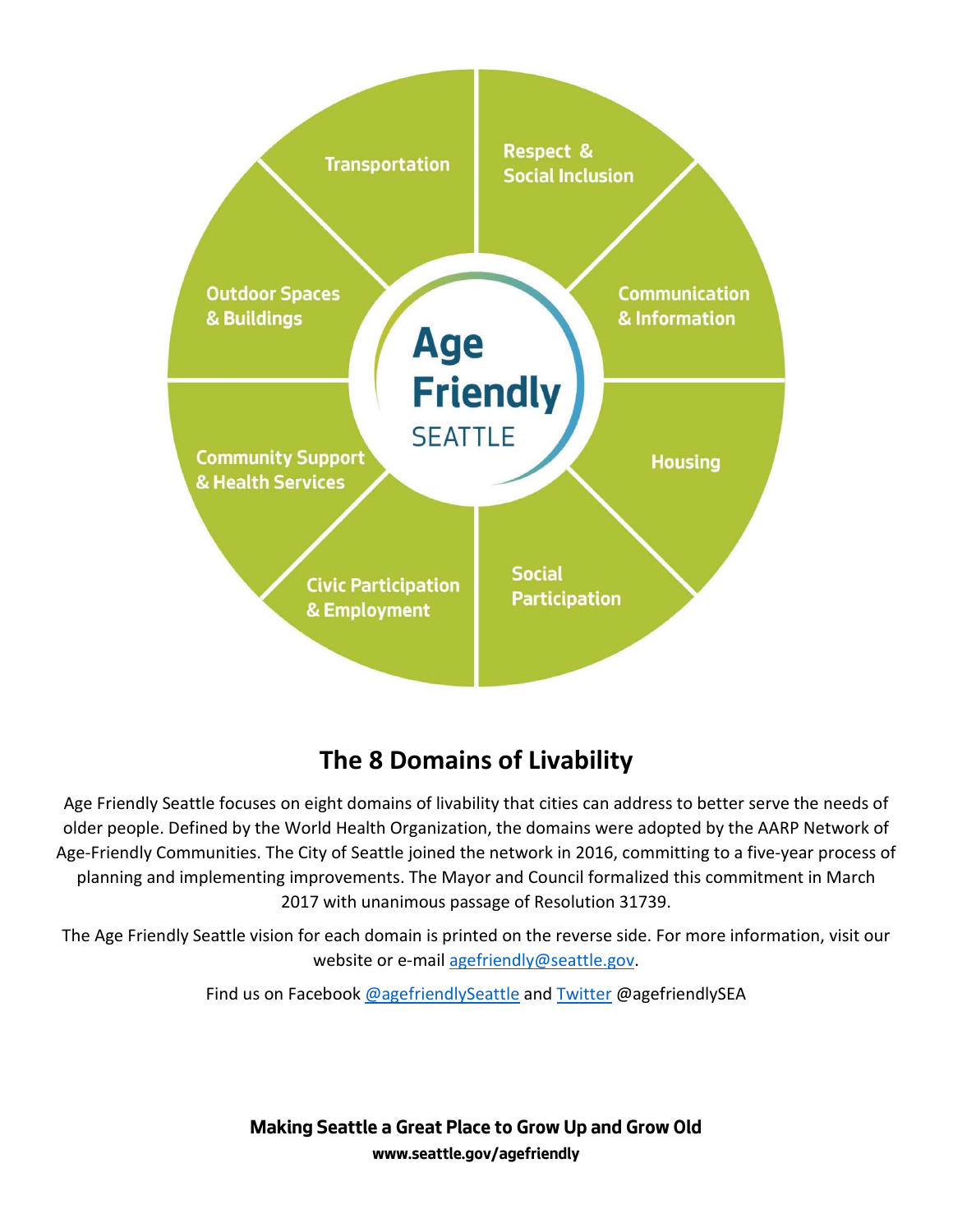

# **The 8 Domains of Livability**

Age Friendly Seattle focuses on eight domains of livability that cities can address to better serve the needs of older people. Defined by the World Health Organization, the domains were adopted by the AARP Network of Age-Friendly Communities. The City of Seattle joined the network in 2016, committing to a five-year process of planning and implementing improvements. The Mayor and Council formalized this commitment in March 2017 with unanimous passage of Resolution 31739.

The Age Friendly Seattle vision for each domain is printed on the reverse side. For more information, visit our website or e-mai[l agefriendly@seattle.gov.](mailto:agefriendly@seattle.gov)

Find us on Facebook [@agefriendlySeattle](http://www.facebook.com/agefriendlySeattle) an[d Twitter](http://www.twitter.com/agefriendlySEA) @agefriendlySEA

**Making Seattle a Great Place to Grow Up and Grow Old [www.seattle.gov/agefriendly](http://www.seattle.gov/agefriendly)**